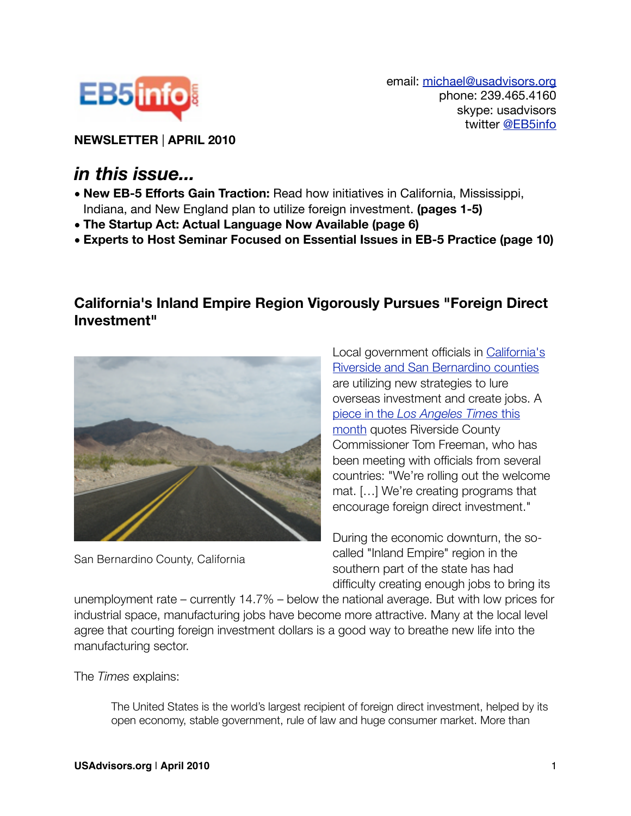

email: [michael@usadvisors.org](mailto:michael@usadvisors.org) phone: 239.465.4160 skype: usadvisors twitter [@EB5info](http://twitter.com/eb5info)

**NEWSLETTER** | **APRIL 2010**

# *in this issue...*

- **• New EB-5 Efforts Gain Traction:** Read how initiatives in California, Mississippi, Indiana, and New England plan to utilize foreign investment. **(pages 1-5)**
- **• The Startup Act: Actual Language Now Available (page 6)**
- **• Experts to Host Seminar Focused on Essential Issues in EB-5 Practice (page 10)**

#### **California's Inland Empire Region Vigorously Pursues "Foreign Direct Investment"**



San Bernardino County, California

Local government officials in [California's](http://eb5info.com/states/5-california/regional_centers)  [Riverside and San Bernardino counties](http://eb5info.com/states/5-california/regional_centers) are utilizing new strategies to lure overseas investment and create jobs. A piece in the *[Los Angeles Times](http://articles.latimes.com/2010/apr/12/business/la-fi-foreign-invest12-2010apr12)* this [month](http://articles.latimes.com/2010/apr/12/business/la-fi-foreign-invest12-2010apr12) quotes Riverside County Commissioner Tom Freeman, who has been meeting with officials from several countries: "We're rolling out the welcome mat. […] We're creating programs that encourage foreign direct investment."

During the economic downturn, the socalled "Inland Empire" region in the southern part of the state has had difficulty creating enough jobs to bring its

unemployment rate – currently 14.7% – below the national average. But with low prices for industrial space, manufacturing jobs have become more attractive. Many at the local level agree that courting foreign investment dollars is a good way to breathe new life into the manufacturing sector.

The *Times* explains:

The United States is the world's largest recipient of foreign direct investment, helped by its open economy, stable government, rule of law and huge consumer market. More than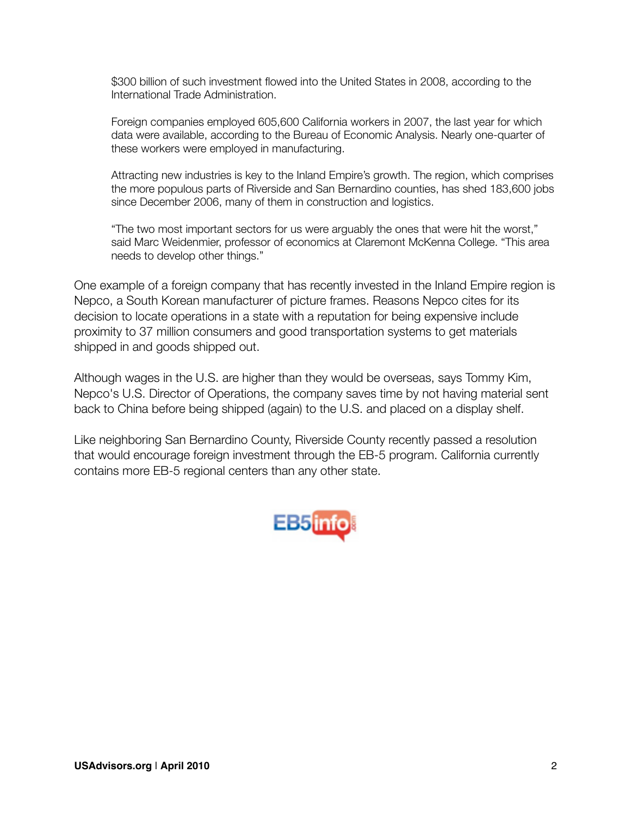\$300 billion of such investment flowed into the United States in 2008, according to the International Trade Administration.

Foreign companies employed 605,600 California workers in 2007, the last year for which data were available, according to the Bureau of Economic Analysis. Nearly one-quarter of these workers were employed in manufacturing.

Attracting new industries is key to the Inland Empire's growth. The region, which comprises the more populous parts of Riverside and San Bernardino counties, has shed 183,600 jobs since December 2006, many of them in construction and logistics.

"The two most important sectors for us were arguably the ones that were hit the worst," said Marc Weidenmier, professor of economics at Claremont McKenna College. "This area needs to develop other things."

One example of a foreign company that has recently invested in the Inland Empire region is Nepco, a South Korean manufacturer of picture frames. Reasons Nepco cites for its decision to locate operations in a state with a reputation for being expensive include proximity to 37 million consumers and good transportation systems to get materials shipped in and goods shipped out.

Although wages in the U.S. are higher than they would be overseas, says Tommy Kim, Nepco's U.S. Director of Operations, the company saves time by not having material sent back to China before being shipped (again) to the U.S. and placed on a display shelf.

Like neighboring San Bernardino County, Riverside County recently passed a resolution that would encourage foreign investment through the EB-5 program. California currently contains more EB-5 regional centers than any other state.

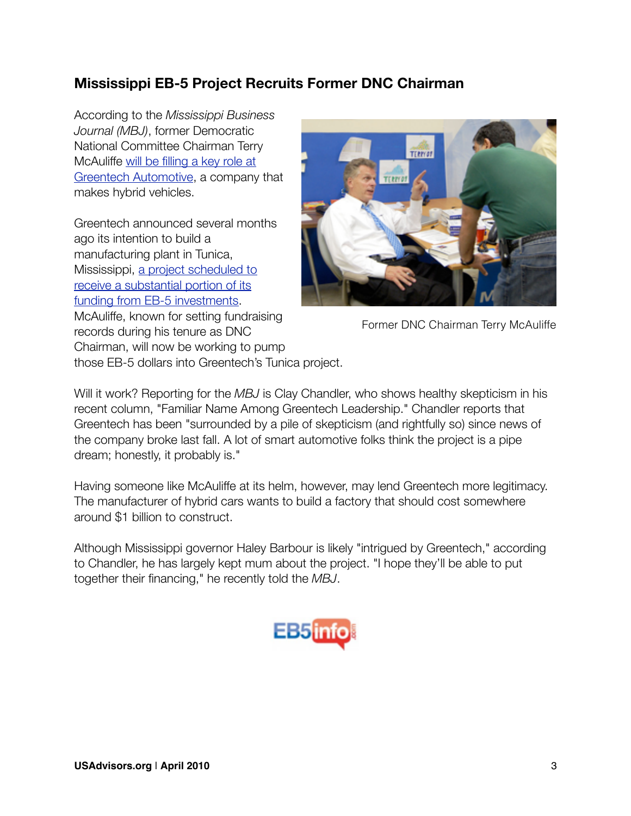### **Mississippi EB-5 Project Recruits Former DNC Chairman**

According to the *Mississippi Business Journal (MBJ)*, former Democratic National Committee Chairman Terry McAuliffe [will be filling a key role at](http://msbusiness.com/magnoliamarketplace/2010/04/22/familiar-name-among-greentech-leadership/)  [Greentech Automotive,](http://msbusiness.com/magnoliamarketplace/2010/04/22/familiar-name-among-greentech-leadership/) a company that makes hybrid vehicles.

Greentech announced several months ago its intention to build a manufacturing plant in Tunica, Mississippi, [a project scheduled to](http://eb5info.com/states/25-mississippi/regional_centers)  [receive a substantial portion of its](http://eb5info.com/states/25-mississippi/regional_centers)  [funding from EB-5 investments.](http://eb5info.com/states/25-mississippi/regional_centers) McAuliffe, known for setting fundraising records during his tenure as DNC Chairman, will now be working to pump those EB-5 dollars into Greentech's Tunica project.



Former DNC Chairman Terry McAuliffe

Will it work? Reporting for the *MBJ* is Clay Chandler, who shows healthy skepticism in his recent column, "Familiar Name Among Greentech Leadership." Chandler reports that Greentech has been "surrounded by a pile of skepticism (and rightfully so) since news of the company broke last fall. A lot of smart automotive folks think the project is a pipe dream; honestly, it probably is."

Having someone like McAuliffe at its helm, however, may lend Greentech more legitimacy. The manufacturer of hybrid cars wants to build a factory that should cost somewhere around \$1 billion to construct.

Although Mississippi governor Haley Barbour is likely "intrigued by Greentech," according to Chandler, he has largely kept mum about the project. "I hope they'll be able to put together their financing," he recently told the *MBJ*.

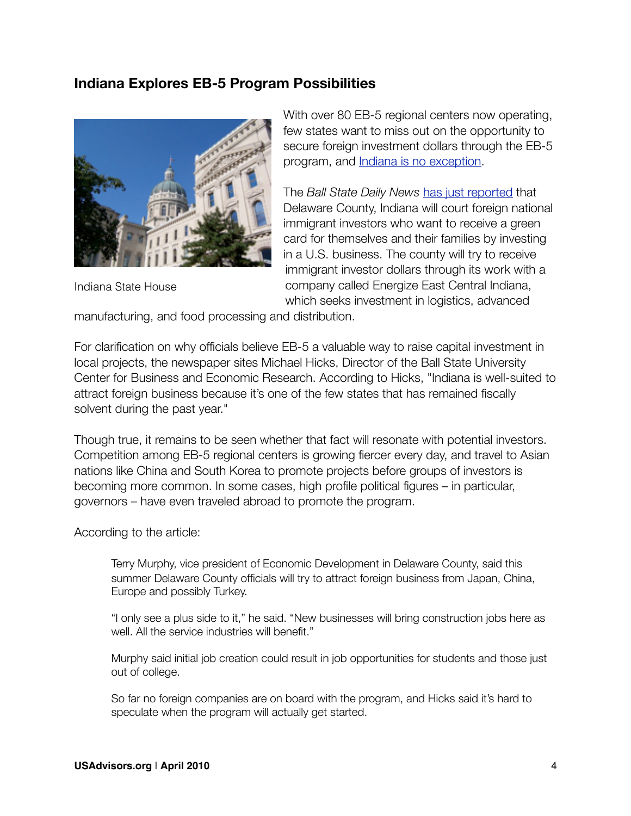#### **Indiana Explores EB-5 Program Possibilities**



Indiana State House

With over 80 EB-5 regional centers now operating, few states want to miss out on the opportunity to secure foreign investment dollars through the EB-5 program, and [Indiana is no exception](http://eb5info.com/states/15-indiana/regional_centers).

The *Ball State Daily News* [has just reported](http://www.bsudailynews.com/delaware-county-helps-company-recruit-foreign-investors-to-indiana-1.2199528) that Delaware County, Indiana will court foreign national immigrant investors who want to receive a green card for themselves and their families by investing in a U.S. business. The county will try to receive immigrant investor dollars through its work with a company called Energize East Central Indiana, which seeks investment in logistics, advanced

manufacturing, and food processing and distribution.

For clarification on why officials believe EB-5 a valuable way to raise capital investment in local projects, the newspaper sites Michael Hicks, Director of the Ball State University Center for Business and Economic Research. According to Hicks, "Indiana is well-suited to attract foreign business because it's one of the few states that has remained fiscally solvent during the past year."

Though true, it remains to be seen whether that fact will resonate with potential investors. Competition among EB-5 regional centers is growing fiercer every day, and travel to Asian nations like China and South Korea to promote projects before groups of investors is becoming more common. In some cases, high profile political figures – in particular, governors – have even traveled abroad to promote the program.

According to the article:

Terry Murphy, vice president of Economic Development in Delaware County, said this summer Delaware County officials will try to attract foreign business from Japan, China, Europe and possibly Turkey.

"I only see a plus side to it," he said. "New businesses will bring construction jobs here as well. All the service industries will benefit."

Murphy said initial job creation could result in job opportunities for students and those just out of college.

So far no foreign companies are on board with the program, and Hicks said it's hard to speculate when the program will actually get started.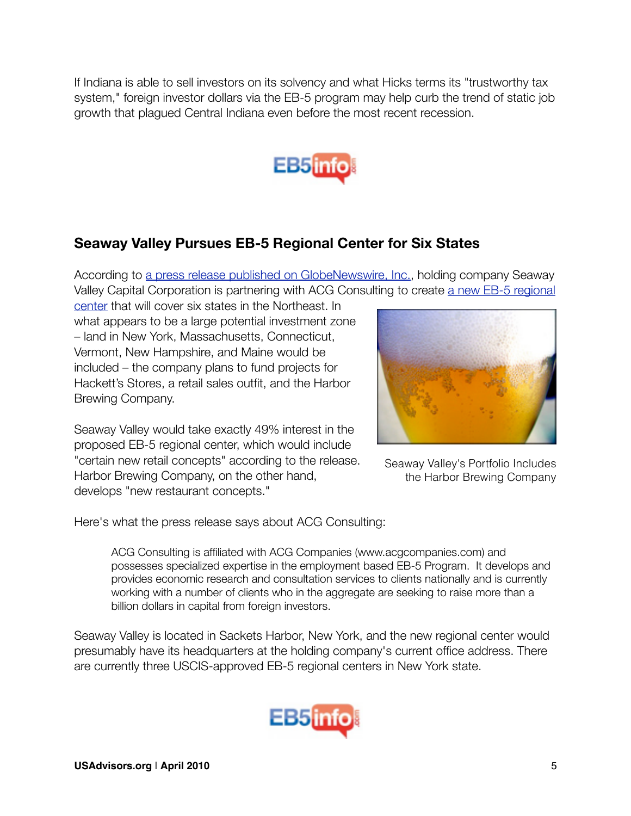If Indiana is able to sell investors on its solvency and what Hicks terms its "trustworthy tax system," foreign investor dollars via the EB-5 program may help curb the trend of static job growth that plagued Central Indiana even before the most recent recession.



### **Seaway Valley Pursues EB-5 Regional Center for Six States**

According to [a press release published on GlobeNewswire, Inc.,](http://www.globenewswire.com/newsroom/news.html?d=189069) holding company Seaway Valley Capital Corporation is partnering with ACG Consulting to create [a new EB-5 regional](http://eb5info.com/regional-centers) 

[center](http://eb5info.com/regional-centers) that will cover six states in the Northeast. In what appears to be a large potential investment zone – land in New York, Massachusetts, Connecticut, Vermont, New Hampshire, and Maine would be included – the company plans to fund projects for Hackett's Stores, a retail sales outfit, and the Harbor Brewing Company.

Seaway Valley would take exactly 49% interest in the proposed EB-5 regional center, which would include "certain new retail concepts" according to the release. Harbor Brewing Company, on the other hand, develops "new restaurant concepts."



Seaway Valley's Portfolio Includes the Harbor Brewing Company

Here's what the press release says about ACG Consulting:

ACG Consulting is affiliated with ACG Companies (www.acgcompanies.com) and possesses specialized expertise in the employment based EB-5 Program. It develops and provides economic research and consultation services to clients nationally and is currently working with a number of clients who in the aggregate are seeking to raise more than a billion dollars in capital from foreign investors.

Seaway Valley is located in Sackets Harbor, New York, and the new regional center would presumably have its headquarters at the holding company's current office address. There are currently three USCIS-approved EB-5 regional centers in New York state.

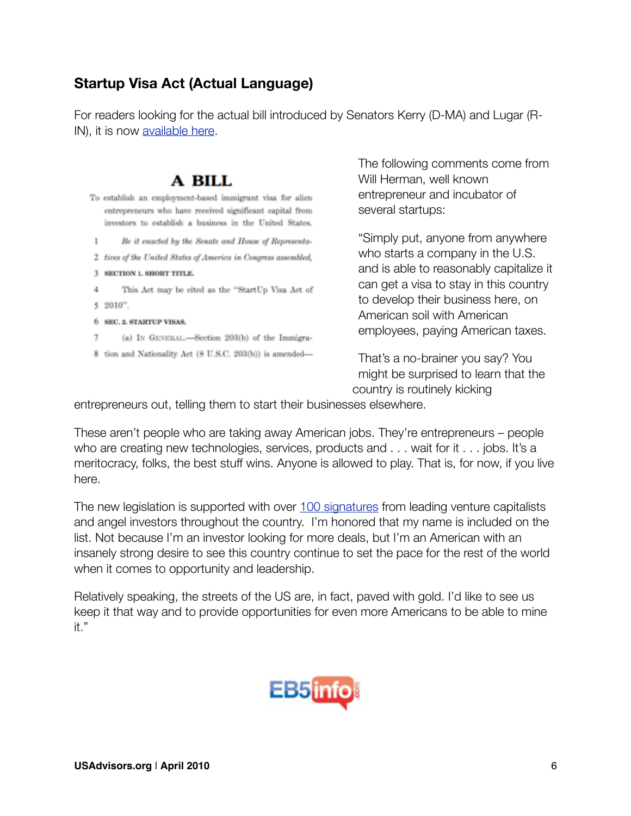## **Startup Visa Act (Actual Language)**

For readers looking for the actual bill introduced by Senators Kerry (D-MA) and Lugar (RIN), it is now [available here](http://www.scribd.com/doc/27401295/Startup-Visa-Act-Final-Final-1).

# A BILL

- To establish an employment-based immigrant visa for alien entrepreneurs who have received significant capital from investors to establish a business in the United States.
- Be it enacted by the Senate and House of Representa-1.
- 2 tives of the United States of America in Congress assembled,
- 3 SECTION 1. SHORT TITLE.
- This Act may be cited as the "StartUp Visa Act of 4 5 2010".
- 6 SEC. 2. STARTUP VISAS.
- (a) IN GENERAL.-Section 203(b) of the Immigra-7
- 8 tion and Nationality Act (8 U.S.C. 203(b)) is amended-

The following comments come from Will Herman, well known entrepreneur and incubator of several startups:

"Simply put, anyone from anywhere who starts a company in the U.S. and is able to reasonably capitalize it can get a visa to stay in this country to develop their business here, on American soil with American employees, paying American taxes.

That's a no-brainer you say? You might be surprised to learn that the country is routinely kicking

entrepreneurs out, telling them to start their businesses elsewhere.

These aren't people who are taking away American jobs. They're entrepreneurs – people who are creating new technologies, services, products and . . . wait for it . . . jobs. It's a meritocracy, folks, the best stuff wins. Anyone is allowed to play. That is, for now, if you live here.

The new legislation is supported with over [100 signatures](https://docs.google.com/viewer?url=http://startupvisa.files.wordpress.com/2010/02/startup-visa-letter-with-signatures-feb22.pdf) from leading venture capitalists and angel investors throughout the country. I'm honored that my name is included on the list. Not because I'm an investor looking for more deals, but I'm an American with an insanely strong desire to see this country continue to set the pace for the rest of the world when it comes to opportunity and leadership.

Relatively speaking, the streets of the US are, in fact, paved with gold. I'd like to see us keep it that way and to provide opportunities for even more Americans to be able to mine it."

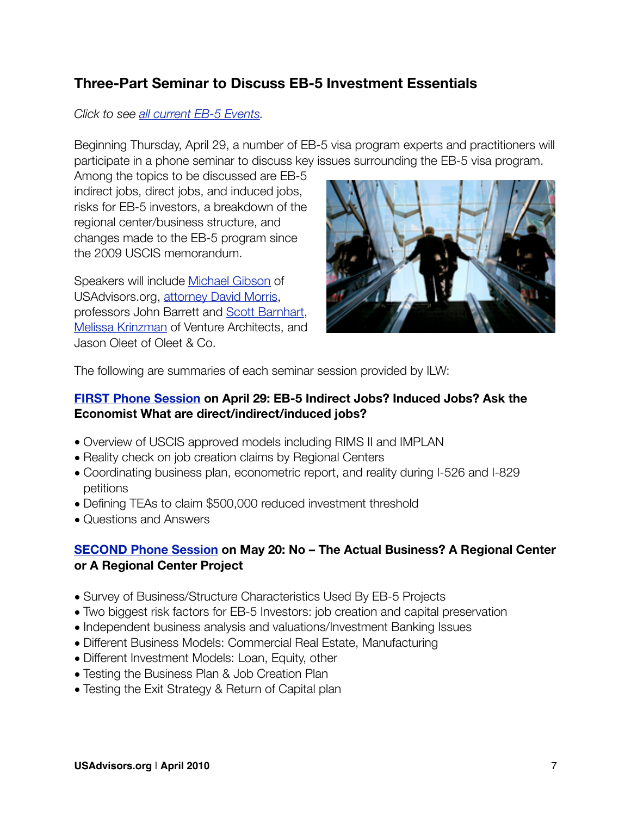### **Three-Part Seminar to Discuss EB-5 Investment Essentials**

#### *Click to see [all current EB-5 Events](http://eb5info.com/eb5-events).*

Beginning Thursday, April 29, a number of EB-5 visa program experts and practitioners will participate in a phone seminar to discuss key issues surrounding the EB-5 visa program.

Among the topics to be discussed are EB-5 indirect jobs, direct jobs, and induced jobs, risks for EB-5 investors, a breakdown of the regional center/business structure, and changes made to the EB-5 program since the 2009 USCIS memorandum.

Speakers will include [Michael Gibson](http://eb5info.com/eb5-advisors/1-michael-gibson) of USAdvisors.org, [attorney David Morris](http://eb5info.com/eb5-attorneys/31-david-morris), professors John Barrett and [Scott Barnhart](http://eb5info.com/eb5-advisors/11-dr-scott-w-barnhart), [Melissa Krinzman](http://eb5info.com/eb5-advisors/9-melissa-krinzman) of Venture Architects, and Jason Oleet of Oleet & Co.



The following are summaries of each seminar session provided by ILW:

#### **[FIRST Phone Session](http://eb5info.com/eb5-events/11-Investor-Options-for-Experts-Seminar-Part-1-ILW-com) on April 29: EB-5 Indirect Jobs? Induced Jobs? Ask the Economist What are direct/indirect/induced jobs?**

- Overview of USCIS approved models including RIMS II and IMPLAN
- Reality check on job creation claims by Regional Centers
- Coordinating business plan, econometric report, and reality during I-526 and I-829 petitions
- Defining TEAs to claim \$500,000 reduced investment threshold
- Questions and Answers

#### **[SECOND Phone Session](http://eb5info.com/eb5-events/12-Investor-Options-for-Experts-Seminar-Part-2-ILW-com) on May 20: No – The Actual Business? A Regional Center or A Regional Center Project**

- Survey of Business/Structure Characteristics Used By EB-5 Projects
- Two biggest risk factors for EB-5 Investors: job creation and capital preservation
- Independent business analysis and valuations/Investment Banking Issues
- Different Business Models: Commercial Real Estate, Manufacturing
- Different Investment Models: Loan, Equity, other
- Testing the Business Plan & Job Creation Plan
- Testing the Exit Strategy & Return of Capital plan